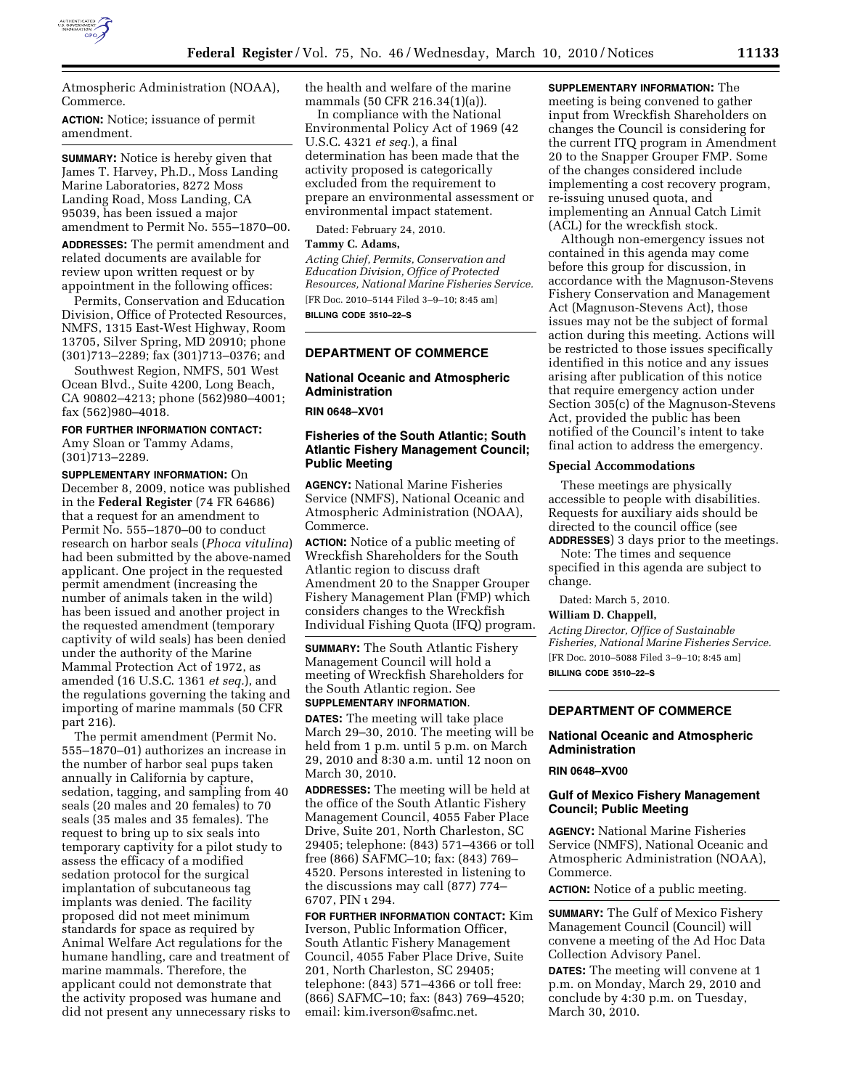

**ACTION:** Notice; issuance of permit amendment.

**SUMMARY:** Notice is hereby given that James T. Harvey, Ph.D., Moss Landing Marine Laboratories, 8272 Moss Landing Road, Moss Landing, CA 95039, has been issued a major amendment to Permit No. 555–1870–00.

**ADDRESSES:** The permit amendment and related documents are available for review upon written request or by appointment in the following offices:

Permits, Conservation and Education Division, Office of Protected Resources, NMFS, 1315 East-West Highway, Room 13705, Silver Spring, MD 20910; phone (301)713–2289; fax (301)713–0376; and

Southwest Region, NMFS, 501 West Ocean Blvd., Suite 4200, Long Beach, CA 90802–4213; phone (562)980–4001; fax (562)980–4018.

#### **FOR FURTHER INFORMATION CONTACT:**

Amy Sloan or Tammy Adams, (301)713–2289.

**SUPPLEMENTARY INFORMATION:** On December 8, 2009, notice was published in the **Federal Register** (74 FR 64686) that a request for an amendment to Permit No. 555–1870–00 to conduct research on harbor seals (*Phoca vitulina*) had been submitted by the above-named applicant. One project in the requested permit amendment (increasing the number of animals taken in the wild) has been issued and another project in the requested amendment (temporary captivity of wild seals) has been denied under the authority of the Marine Mammal Protection Act of 1972, as amended (16 U.S.C. 1361 *et seq.*), and the regulations governing the taking and importing of marine mammals (50 CFR part 216).

The permit amendment (Permit No. 555–1870–01) authorizes an increase in the number of harbor seal pups taken annually in California by capture, sedation, tagging, and sampling from 40 seals (20 males and 20 females) to 70 seals (35 males and 35 females). The request to bring up to six seals into temporary captivity for a pilot study to assess the efficacy of a modified sedation protocol for the surgical implantation of subcutaneous tag implants was denied. The facility proposed did not meet minimum standards for space as required by Animal Welfare Act regulations for the humane handling, care and treatment of marine mammals. Therefore, the applicant could not demonstrate that the activity proposed was humane and did not present any unnecessary risks to

the health and welfare of the marine mammals (50 CFR 216.34(1)(a)).

In compliance with the National Environmental Policy Act of 1969 (42 U.S.C. 4321 *et seq.*), a final determination has been made that the activity proposed is categorically excluded from the requirement to prepare an environmental assessment or environmental impact statement.

Dated: February 24, 2010.

#### **Tammy C. Adams,**

*Acting Chief, Permits, Conservation and Education Division, Office of Protected Resources, National Marine Fisheries Service.*  [FR Doc. 2010–5144 Filed 3–9–10; 8:45 am] **BILLING CODE 3510–22–S** 

## **DEPARTMENT OF COMMERCE**

# **National Oceanic and Atmospheric Administration**

**RIN 0648–XV01** 

# **Fisheries of the South Atlantic; South Atlantic Fishery Management Council; Public Meeting**

**AGENCY:** National Marine Fisheries Service (NMFS), National Oceanic and Atmospheric Administration (NOAA), Commerce.

**ACTION:** Notice of a public meeting of Wreckfish Shareholders for the South Atlantic region to discuss draft Amendment 20 to the Snapper Grouper Fishery Management Plan (FMP) which considers changes to the Wreckfish Individual Fishing Quota (IFQ) program.

**SUMMARY:** The South Atlantic Fishery Management Council will hold a meeting of Wreckfish Shareholders for the South Atlantic region. See **SUPPLEMENTARY INFORMATION**.

**DATES:** The meeting will take place March 29–30, 2010. The meeting will be held from 1 p.m. until 5 p.m. on March 29, 2010 and 8:30 a.m. until 12 noon on March 30, 2010.

**ADDRESSES:** The meeting will be held at the office of the South Atlantic Fishery Management Council, 4055 Faber Place Drive, Suite 201, North Charleston, SC 29405; telephone: (843) 571–4366 or toll free (866) SAFMC–10; fax: (843) 769– 4520. Persons interested in listening to the discussions may call (877) 774– 6707, PIN ι 294.

**FOR FURTHER INFORMATION CONTACT:** Kim Iverson, Public Information Officer, South Atlantic Fishery Management Council, 4055 Faber Place Drive, Suite 201, North Charleston, SC 29405; telephone: (843) 571–4366 or toll free: (866) SAFMC–10; fax: (843) 769–4520; email: kim.iverson@safmc.net.

**SUPPLEMENTARY INFORMATION:** The meeting is being convened to gather input from Wreckfish Shareholders on changes the Council is considering for the current ITQ program in Amendment 20 to the Snapper Grouper FMP. Some of the changes considered include implementing a cost recovery program, re-issuing unused quota, and implementing an Annual Catch Limit (ACL) for the wreckfish stock.

Although non-emergency issues not contained in this agenda may come before this group for discussion, in accordance with the Magnuson-Stevens Fishery Conservation and Management Act (Magnuson-Stevens Act), those issues may not be the subject of formal action during this meeting. Actions will be restricted to those issues specifically identified in this notice and any issues arising after publication of this notice that require emergency action under Section 305(c) of the Magnuson-Stevens Act, provided the public has been notified of the Council's intent to take final action to address the emergency.

#### **Special Accommodations**

These meetings are physically accessible to people with disabilities. Requests for auxiliary aids should be directed to the council office (see **ADDRESSES**) 3 days prior to the meetings.

Note: The times and sequence specified in this agenda are subject to change.

Dated: March 5, 2010.

#### **William D. Chappell,**

*Acting Director, Office of Sustainable Fisheries, National Marine Fisheries Service.*  [FR Doc. 2010–5088 Filed 3–9–10; 8:45 am] **BILLING CODE 3510–22–S** 

# **DEPARTMENT OF COMMERCE**

# **National Oceanic and Atmospheric Administration**

## **RIN 0648–XV00**

# **Gulf of Mexico Fishery Management Council; Public Meeting**

**AGENCY:** National Marine Fisheries Service (NMFS), National Oceanic and Atmospheric Administration (NOAA), Commerce.

**ACTION:** Notice of a public meeting.

**SUMMARY:** The Gulf of Mexico Fishery Management Council (Council) will convene a meeting of the Ad Hoc Data Collection Advisory Panel.

**DATES:** The meeting will convene at 1 p.m. on Monday, March 29, 2010 and conclude by 4:30 p.m. on Tuesday, March 30, 2010.